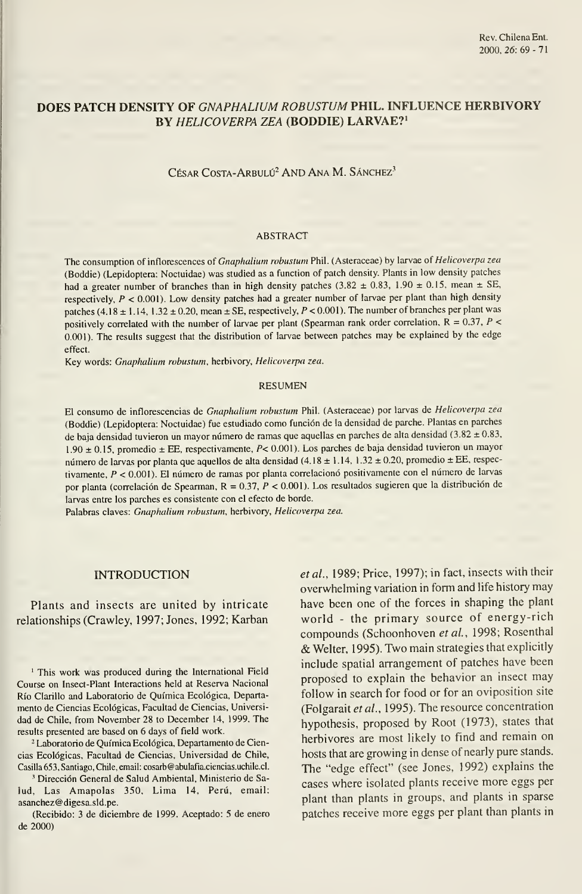# DOES PATCH DENSITY OF GNAPHALIUM ROBUSTÜM PHIL. INFLUENCE HERBIVORY BY HELICOVERPA ZEA (BODDIE) LARVAE?'

CÉSAR COSTA-ARBULÚ<sup>2</sup> AND ANA M. SÁNCHEZ<sup>3</sup>

#### ABSTRACT

The consumption of inflorescences of Gnaphalium robustum Phil. (Asteraceae) by larvae of Helicoverpa zea (Boddie) (Lepidoptera: Noctuidae) was studied as <sup>a</sup> function of patch density. Plants in low density patches had a greater number of branches than in high density patches (3.82  $\pm$  0.83, 1.90  $\pm$  0.15, mean  $\pm$  SE, respectively,  $P < 0.001$ ). Low density patches had a greater number of larvae per plant than high density patches (4.18  $\pm$  1.14, 1.32  $\pm$  0.20, mean  $\pm$  SE, respectively, P < 0.001). The number of branches per plant was positively correlated with the number of larvae per plant (Spearman rank order correlation,  $R = 0.37$ ,  $P <$ 0.001). The results suggest that the distribution of larvae between patches may be explained by the edge effect.

Key words: Gnaphalium robustum, herbivory, Helicoverpa zea.

### RESUMEN

El consumo de inflorescencias de Gnaphalium robustum Phil. (Asteraceae) por larvas de Helicoverpa zea (Boddie) (Lepidoptera: Noctuidae) fue estudiado como función de la densidad de parche. Plantas en parches de baja densidad tuvieron un mayor número de ramas que aquellas en parches de alta densidad (3.82  $\pm$  0.83, 1.90 ±0.15, promedio ± EE, respectivamente, P< 0.001). Los parches de baja densidad tuvieron un mayor número de larvas por planta que aquellos de alta densidad (4.18 ± 1.14, 1.32 ± 0.20, promedio ± EE, respectivamente, P < 0.001). El número de ramas por planta correlacionó positivamente con el número de larvas por planta (correlación de Spearman. R = 0.37, P < 0.001). Los resultados sugieren que la distribución de larvas entre los parches es consistente con el efecto de borde.

Palabras claves: Gnaphalium robustum, herbivory, Helicoverpa zea.

### **INTRODUCTION**

Plants and insects are united by intricate relationships (Crawley, 1997; Jones, 1992; Karban

' This work was produced during the International Field Course on Insect-Plant Interactions held at Reserva Nacional Río Clarillo and Laboratorio de Química Ecológica, Departa mento de Ciencias Ecológicas, Facultad de Ciencias, Universi dad de Chile, from November 28 to December 14, 1999. The results presented are based on 6 days of field work.

<sup>2</sup> Laboratorio de Química Ecológica, Departamento de Ciencias Ecológicas, Facultad de Ciencias, Universidad de Chile, Casilla 653, Santiago, Chile, email: cosarb@abulafia.ciencias.uchile.cl.

' Dirección General de Salud Ambiental, Ministerio de Salud, Las Amapolas 350, Lima 14, Perú, email: asanchez@digesa.sld.pe.

(Recibido: 3 de diciembre de 1999. Aceptado: 5 de enero de 2000)

etal., 1989; Price, 1997); in fact, insects with their overwhelming variation in form and life history may have been one of the forces in shaping the plant world - the primary source of energy-rich compounds (Schoonhoven et al., 1998; Rosenthal & Welter, 1995). Two main strategies that explicitly include spatial arrangement of patches have been proposed to explain the behavior an insect may follow in search for food or for an oviposition site (Folgarait et al., 1995). The resource concentration hypothesis, proposed by Root (1973), states that herbivores are most likely to find and remain on hosts that are growing in dense of nearly puré stands. The "edge effect" (see Jones, 1992) explains the cases where isolated plants receive more eggs per plant than plants in groups, and plants in sparse patches receive more eggs per plant than plants in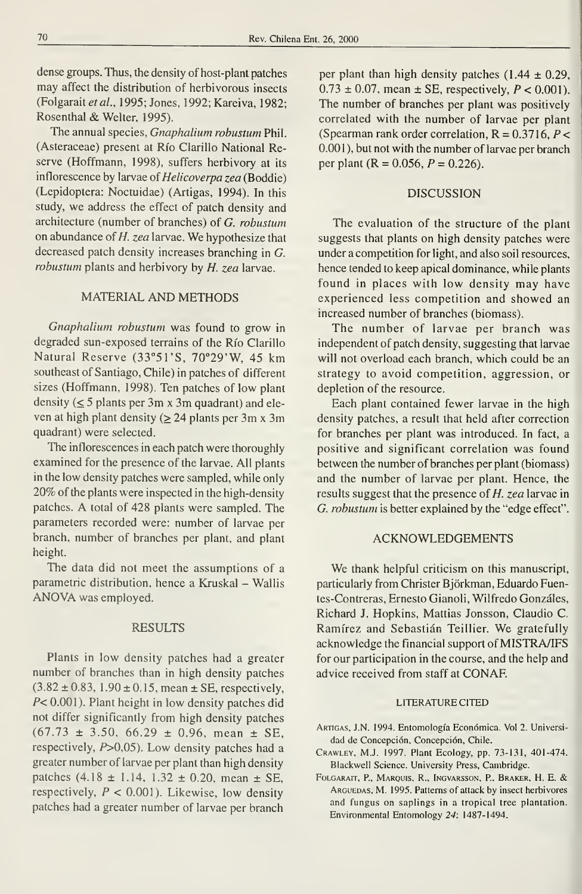dense groups. Thus, the density of host-plant patches may affect the distribution of herbivorous insects (Folgarait et al., 1995; Jones, 1992; Kareiva, 1982; Rosenthal & Welter, 1995).

The annual species, Gnaphalium robustum Phil. (Asteraceae) present at Río Clarillo National Reserve (Hoffmann, 1998), suffers herbivory at its inflorescence by larvae of Helicoverpa zea (Boddie) (Lepidoptera: Noctuidae) (Artigas, 1994). In this study, we address the effect of patch density and architecture (number of branches) of G. robustum on abundance of  $H$ . zea larvae. We hypothesize that decreased patch density increases branching in G. robustum plants and herbivory by H. zea larvae.

## MATERIAL AND METHODS

Gnaphalium robustum was found to grow in degraded sun-exposed terrains of the Río Clarillo Natural Reserve (33°51'S, 70°29'W, 45 km southeast of Santiago, Chile) in patches of different sizes (Hoffmann, 1998). Ten patches of low plant density  $(\leq 5$  plants per 3m x 3m quadrant) and eleven at high plant density ( $\geq$  24 plants per 3m x 3m quadrant) were selected.

The inflorescences in each patch were thoroughly examined for the presence of the larvae. All plants in the low density patches were sampled, while only 20% of the plants were inspected in the high-density patches. A total of <sup>428</sup> plants were sampled. The parameters recorded were: number of larvae per branch, number of branches per plant, and plant height.

The data did not meet the assumptions of a parametric distribution, hence a Kruskal - Wallis ANOVA was employed.

## RESULTS

Plants in low density patches had a greater number of branches than in high density patches  $(3.82 \pm 0.83, 1.90 \pm 0.15, \text{mean} \pm \text{SE}, \text{respectively},$ P< 0.001). Plant height in low density patches did not differ significantly from high density patches  $(67.73 \pm 3.50, 66.29 \pm 0.96, \text{mean } \pm \text{SE})$ respectively, P>0,05). Low density patches had <sup>a</sup> greater number of larvae per plant than high density patches  $(4.18 \pm 1.14, 1.32 \pm 0.20, \text{mean} \pm \text{SE})$ , respectively,  $P < 0.001$ ). Likewise, low density patches had a greater number of larvae per branch per plant than high density patches  $(1.44 \pm 0.29,$  $0.73 \pm 0.07$ , mean  $\pm$  SE, respectively,  $P < 0.001$ ). The number of branches per plant was positively correlated with the number of larvae per plant (Spearman rank order correlation,  $R = 0.3716$ ,  $P <$ 0.001), but not with the number of larvae per branch per plant ( $R = 0.056$ ,  $P = 0.226$ ).

### DISCUSSION

The evaluation of the structure of the plant suggests that plants on high density patches were under a competition for light, and also soil resources, hence tended to keep apical dominance, while plants found in places with low density may have experienced less competition and showed an increased number of branches (biomass).

The number of larvae per branch was independent of patch density, suggesting that larvae will not overload each branch, which could be an strategy to avoid competition, aggression, or depletion of the resource.

Each plant contained fewer larvae in the high density patches, a result that held after correction for branches per plant was introduced. In fact, a positive and significant correlation was found between the number of branches per plant (biomass) and the number of larvae per plant. Hence, the results suggest that the presence of H. zea larvae in G. robustum is better explained by the "edge effect".

### ACKNOWLEDGEMENTS

We thank helpful criticism on this manuscript, particularly from Christer Bjorkman, Eduardo Fuentes-Contreras, Ernesto Gianoli, Wilfredo Gonzáles, Richard J. Hopkins, Mattias Jonsson, Claudio C. Ramírez and Sebastián Teillier. We gratefully acknowledge the financial support of MISTRA/IFS for our participation in the course, and the help and advice received from staff at CONAF.

## LITERATURECITED

- Artigas, J.N. 1994. Entomología Económica. Vol 2. Universi dad de Concepción, Concepción, Chile.
- Crawley, M.J. 1997. Plant Ecology, pp. 73-131, 401-474. Blackwell Science. University Press, Cambridge.
- FoLGARAiT, P., Marquis, R., Ingvarsson, R, Braker, H. E. & Arguedas, M. 1995. Patterns of attack by insect herbivores and fungus on saplings in a tropical tree plantation. Environmental Entomology 24: 1487-1494.